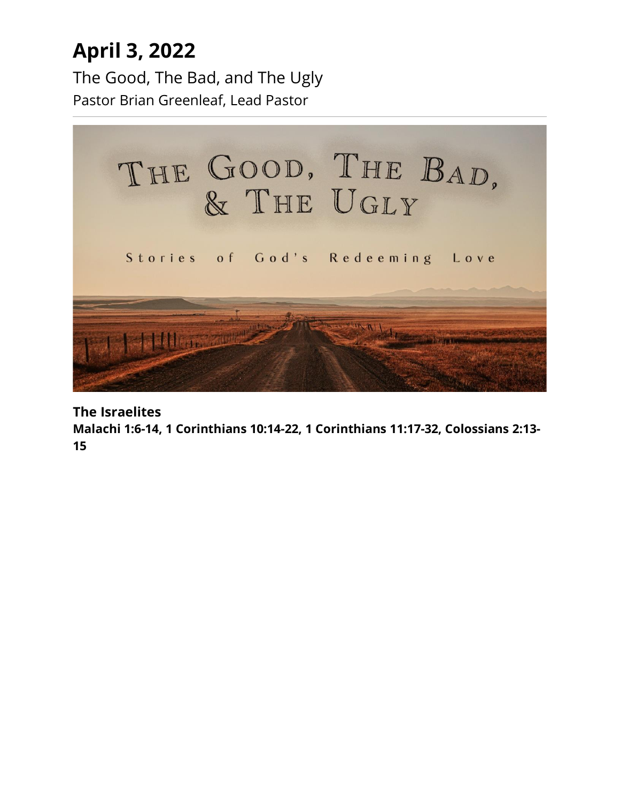## **April 3, 2022**

The Good, The Bad, and The Ugly Pastor Brian Greenleaf, Lead Pastor



**The Israelites**

**Malachi 1:6-14, 1 Corinthians 10:14-22, 1 Corinthians 11:17-32, Colossians 2:13- 15**